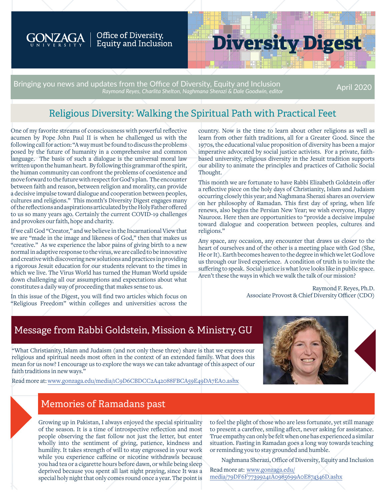

### Office of Diversity, Equity and Inclusion

# **Diversity Digest**

Bringing you news and updates from the Office of Diversity, Equity and Inclusion *Raymond Reyes, Charlita Shelton, Naghmana Sherazi & Dale Goodwin, editor* April 2020

### Religious Diversity: Walking the Spiritual Path with Practical Feet

One of my favorite streams of consciousness with powerful reflective acumen by Pope John Paul II is when he challenged us with the following call for action: "A way must be found to discuss the problems posed by the future of humanity in a comprehensive and common language. The basis of such a dialogue is the universal moral law written upon the human heart. By following this grammar of the spirit, the human community can confront the problems of coexistence and move forward to the future with respect for God's plan. The encounter between faith and reason, between religion and morality, can provide a decisive impulse toward dialogue and cooperation between peoples, cultures and religions." This month's Diversity Digest engages many of the reflections and aspirations articulated by the Holy Father offered to us so many years ago. Certainly the current COVID-19 challenges and provokes our faith, hope and charity.

If we call God "Creator," and we believe in the Incarnational View that we are "made in the image and likeness of God," then that makes us "creative." As we experience the labor pains of giving birth to a new normal in adaptive response to the virus, we are called to be innovative and creative with discovering new solutions and practices in providing a rigorous Jesuit education for our students relevant to the times in which we live. The Virus World has turned the Human World upside down challenging all our assumptions and expectations about what constitutes a daily way of proceeding that makes sense to us.

In this issue of the Digest, you will find two articles which focus on "Religious Freedom" within colleges and universities across the

country. Now is the time to learn about other religions as well as learn from other faith traditions, all for a Greater Good. Since the 1970s, the educational value proposition of diversity has been a major imperative advocated by social justice activists. For a private, faithbased university, religious diversity in the Jesuit tradition supports our ability to animate the principles and practices of Catholic Social Thought.

This month we are fortunate to have Rabbi Elizabeth Goldstein offer a reflective piece on the holy days of Christianity, Islam and Judaism occurring closely this year; and Naghmana Sherazi shares an overview on her philosophy of Ramadan. This first day of spring, when life renews, also begins the Persian New Year; we wish everyone, Happy Naurooz. Here then are opportunities to "provide a decisive impulse toward dialogue and cooperation between peoples, cultures and religions."

Any space, any occasion, any encounter that draws us closer to the heart of ourselves and of the other is a meeting place with God (She, He or It). Earth becomes heaven to the degree in which we let God love us through our lived experience. A condition of truth is to invite the suffering to speak. Social justice is what love looks like in public space. Aren't these the ways in which we walk the talk of our mission?

> Raymond F. Reyes, Ph.D. Associate Provost & Chief Diversity Officer (CDO)

### Message from Rabbi Goldstein, Mission & Ministry, GU

"What Christianity, Islam and Judaism (and not only these three) share is that we express our religious and spiritual needs most often in the context of an extended family. What does this mean for us now? I encourage us to explore the ways we can take advantage of this aspect of our faith traditions in new ways."

Read more at: www.gonzaga.edu/media/[1C9D6CBDCC2A42088FBCA59E49DA7EA0](https://www.gonzaga.edu/-/media/1C9D6CBDCC2A42088FBCA59E49DA7EA0.ashx).ashx



### Memories of Ramadans past

Growing up in Pakistan, I always enjoyed the special spirituality of the season. It is a time of introspective reflection and most people observing the fast follow not just the letter, but enter wholly into the sentiment of giving, patience, kindness and humility. It takes strength of will to stay engrossed in your work while you experience caffeine or nicotine withdrawls because you had tea or a cigarette hours before dawn, or while being sleep deprived because you spent all last night praying, since It was a special holy night that only comes round once a year. The point is

to feel the plight of those who are less fortunate, yet still manage to present a carefree, smiling affect, never asking for assistance. True empathy can only be felt when one has experienced a similar situation. Fasting in Ramadan goes a long way towards teaching or reminding you to stay grounded and humble.

Naghmana Sherazi, Office of Diversity, Equity and Inclusion

Read more at: www.gonzaga.edu/ [media/79DF6F77399241A0985699A0E874346D.ashx](https://www.gonzaga.edu/-/media/43A8E6D45A464E0589E860255A76B723.ashx)